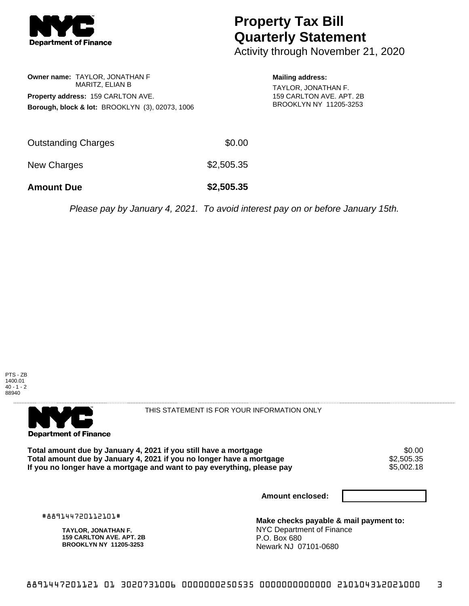

## **Property Tax Bill Quarterly Statement**

Activity through November 21, 2020

**Owner name:** TAYLOR, JONATHAN F MARITZ, ELIAN B **Property address:** 159 CARLTON AVE. **Borough, block & lot:** BROOKLYN (3), 02073, 1006 **Mailing address:** TAYLOR, JONATHAN F. 159 CARLTON AVE. APT. 2B BROOKLYN NY 11205-3253

| <b>Amount Due</b>   | \$2,505.35 |
|---------------------|------------|
| New Charges         | \$2,505.35 |
| Outstanding Charges | \$0.00     |

Please pay by January 4, 2021. To avoid interest pay on or before January 15th.





THIS STATEMENT IS FOR YOUR INFORMATION ONLY

Total amount due by January 4, 2021 if you still have a mortgage  $$0.00$ <br>Total amount due by January 4, 2021 if you no longer have a mortgage  $$2,505.35$ **Total amount due by January 4, 2021 if you no longer have a mortgage**  $$2,505.35$ **<br>If you no longer have a mortgage and want to pay everything, please pay**  $$5,002.18$ If you no longer have a mortgage and want to pay everything, please pay

**Amount enclosed:**

#889144720112101#

**TAYLOR, JONATHAN F. 159 CARLTON AVE. APT. 2B BROOKLYN NY 11205-3253**

**Make checks payable & mail payment to:** NYC Department of Finance P.O. Box 680 Newark NJ 07101-0680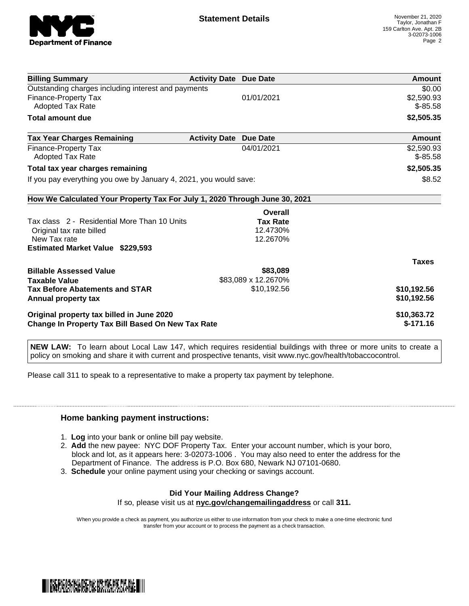

| <b>Billing Summary</b>                                                     | <b>Activity Date Due Date</b> |                     | <b>Amount</b> |
|----------------------------------------------------------------------------|-------------------------------|---------------------|---------------|
| Outstanding charges including interest and payments                        |                               |                     | \$0.00        |
| <b>Finance-Property Tax</b>                                                |                               | 01/01/2021          | \$2,590.93    |
| <b>Adopted Tax Rate</b>                                                    |                               |                     | $$-85.58$     |
| <b>Total amount due</b>                                                    |                               |                     | \$2,505.35    |
| <b>Tax Year Charges Remaining</b>                                          | <b>Activity Date</b>          | <b>Due Date</b>     | Amount        |
| <b>Finance-Property Tax</b>                                                |                               | 04/01/2021          | \$2,590.93    |
| Adopted Tax Rate                                                           |                               |                     | $$-85.58$     |
| Total tax year charges remaining                                           |                               |                     | \$2,505.35    |
| If you pay everything you owe by January 4, 2021, you would save:          |                               |                     | \$8.52        |
| How We Calculated Your Property Tax For July 1, 2020 Through June 30, 2021 |                               |                     |               |
|                                                                            |                               | Overall             |               |
| Tax class 2 - Residential More Than 10 Units                               |                               | <b>Tax Rate</b>     |               |
| Original tax rate billed                                                   |                               | 12.4730%            |               |
| New Tax rate                                                               |                               | 12.2670%            |               |
| <b>Estimated Market Value \$229,593</b>                                    |                               |                     |               |
|                                                                            |                               |                     | <b>Taxes</b>  |
| <b>Billable Assessed Value</b>                                             |                               | \$83,089            |               |
| <b>Taxable Value</b>                                                       |                               | \$83,089 x 12.2670% |               |
| <b>Tax Before Abatements and STAR</b>                                      |                               | \$10,192.56         | \$10,192.56   |
| Annual property tax                                                        |                               |                     | \$10,192.56   |
| Original property tax billed in June 2020                                  |                               |                     | \$10,363.72   |
| <b>Change In Property Tax Bill Based On New Tax Rate</b>                   |                               |                     | $$-171.16$    |

**NEW LAW:** To learn about Local Law 147, which requires residential buildings with three or more units to create a policy on smoking and share it with current and prospective tenants, visit www.nyc.gov/health/tobaccocontrol.

Please call 311 to speak to a representative to make a property tax payment by telephone.

## **Home banking payment instructions:**

- 1. **Log** into your bank or online bill pay website.
- 2. **Add** the new payee: NYC DOF Property Tax. Enter your account number, which is your boro, block and lot, as it appears here: 3-02073-1006 . You may also need to enter the address for the Department of Finance. The address is P.O. Box 680, Newark NJ 07101-0680.
- 3. **Schedule** your online payment using your checking or savings account.

## **Did Your Mailing Address Change?**

If so, please visit us at **nyc.gov/changemailingaddress** or call **311.**

When you provide a check as payment, you authorize us either to use information from your check to make a one-time electronic fund transfer from your account or to process the payment as a check transaction.